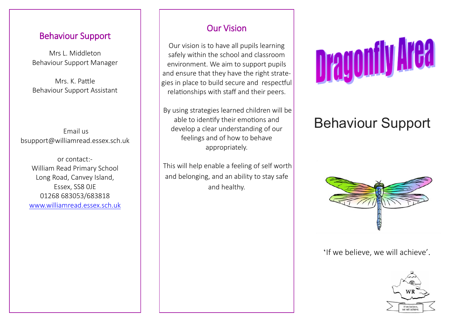## Behaviour Support

Mrs L. Middleton Behaviour Support Manager

Mrs. K. Pattle Behaviour Support Assistant

Email us bsupport@williamread.essex.sch.uk

or contact:- William Read Primary School Long Road, Canvey Island, Essex, SS8 0JE 01268 683053/683818 [www.williamread.essex.sch.uk](http://www.williamread.essex.sch.uk)

# Our Vision

Our vision is to have all pupils learning safely within the school and classroom environment. We aim to support pupils and ensure that they have the right strategies in place to build secure and respectful relationships with staff and their peers.

By using strategies learned children will be able to identify their emotions and develop a clear understanding of our feelings and of how to behave appropriately.

This will help enable a feeling of self worth and belonging, and an ability to stay safe and healthy.



# Behaviour Support



'If we believe, we will achieve'.